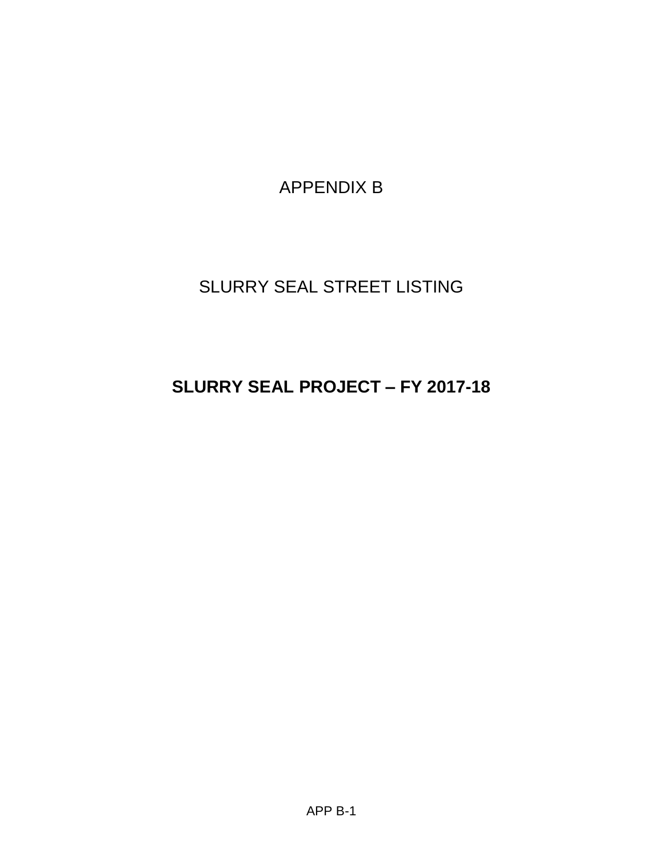APPENDIX B

# SLURRY SEAL STREET LISTING

# **SLURRY SEAL PROJECT – FY 2017-18**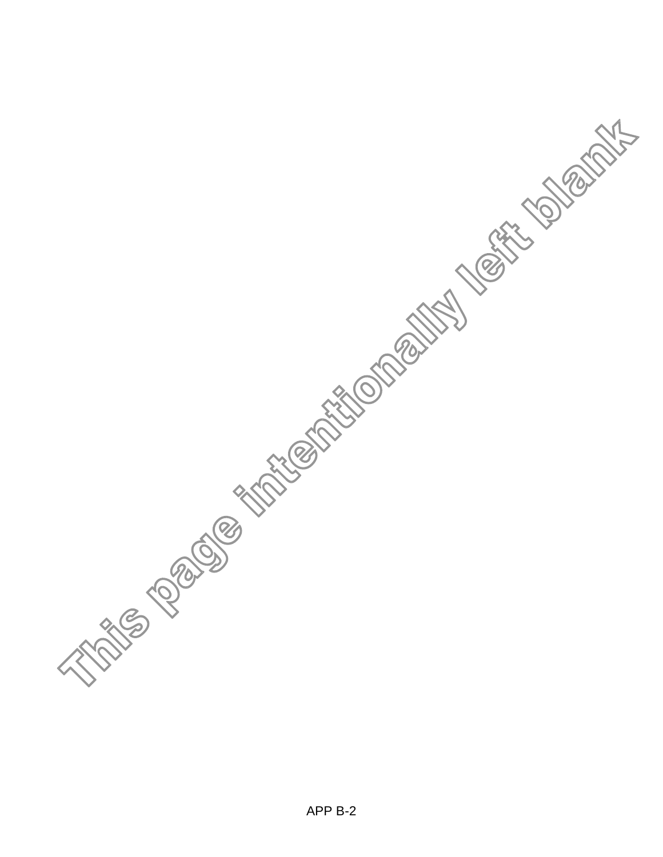APP B-2 PROPERTY AND BOULD AND BOULD AND BOULD AND BOULD AND BOULD AND BOULD AND BOULD AND BOULD AND BOULD AND BOULD AND BOULD AND BOULD AND BOULD AND BOULD AND BOULD AND BOULD AND BOULD AND BOULD AND BOULD AND BOULD AND B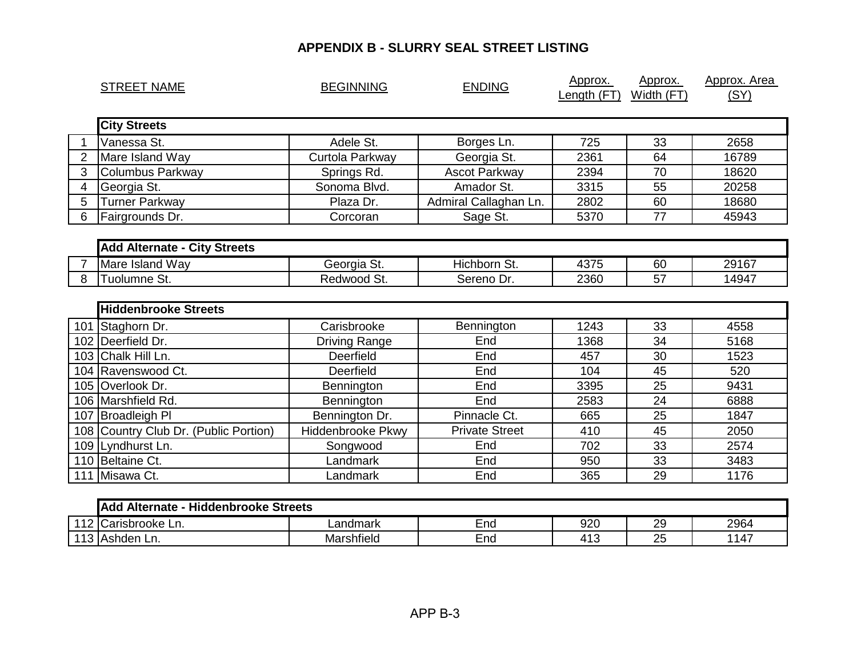### **APPENDIX B - SLURRY SEAL STREET LISTING**

|                | <b>STREET NAME</b>                    | <b>BEGINNING</b>     | <b>ENDING</b>         | Approx.     | Approx.    | Approx. Area |  |  |
|----------------|---------------------------------------|----------------------|-----------------------|-------------|------------|--------------|--|--|
|                |                                       |                      |                       | Length (FT) | Width (FT) | (SY)         |  |  |
|                |                                       |                      |                       |             |            |              |  |  |
|                | <b>City Streets</b>                   |                      |                       |             |            |              |  |  |
|                | Vanessa St.                           | Adele St.            | Borges Ln.            | 725         | 33         | 2658         |  |  |
| $\overline{2}$ | Mare Island Way                       | Curtola Parkway      | Georgia St.           | 2361        | 64         | 16789        |  |  |
| 3              | Columbus Parkway                      | Springs Rd.          | <b>Ascot Parkway</b>  | 2394        | 70         | 18620        |  |  |
| 4              | Georgia St.                           | Sonoma Blvd.         | Amador St.            | 3315        | 55         | 20258        |  |  |
| 5              | <b>Turner Parkway</b>                 | Plaza Dr.            | Admiral Callaghan Ln. | 2802        | 60         | 18680        |  |  |
| 6              | Fairgrounds Dr.                       | Corcoran             | Sage St.              | 5370        | 77         | 45943        |  |  |
|                |                                       |                      |                       |             |            |              |  |  |
|                | <b>Add Alternate - City Streets</b>   |                      |                       |             |            |              |  |  |
|                | Mare Island Way                       | Georgia St.          | Hichborn St.          | 4375        | 60         | 29167        |  |  |
| 8              | Tuolumne St.                          | Redwood St.          | Sereno Dr.            | 2360        | 57         | 14947        |  |  |
|                |                                       |                      |                       |             |            |              |  |  |
|                | <b>Hiddenbrooke Streets</b>           |                      |                       |             |            |              |  |  |
|                | 101 Staghorn Dr.                      | Carisbrooke          | Bennington            | 1243        | 33         | 4558         |  |  |
|                | 102 Deerfield Dr.                     | <b>Driving Range</b> | End                   | 1368        | 34         | 5168         |  |  |
|                | 103 Chalk Hill Ln.                    | Deerfield            | End                   | 457         | 30         | 1523         |  |  |
|                | 104 Ravenswood Ct.                    | Deerfield            | End                   | 104         | 45         | 520          |  |  |
|                | 105 Overlook Dr.                      | Bennington           | End                   | 3395        | 25         | 9431         |  |  |
|                | 106 Marshfield Rd.                    | Bennington           | End                   | 2583        | 24         | 6888         |  |  |
|                | 107 Broadleigh PI                     | Bennington Dr.       | Pinnacle Ct.          | 665         | 25         | 1847         |  |  |
|                | 108 Country Club Dr. (Public Portion) | Hiddenbrooke Pkwy    | <b>Private Street</b> | 410         | 45         | 2050         |  |  |
|                | 109 Lyndhurst Ln.                     | Songwood             | End                   | 702         | 33         | 2574         |  |  |
|                | 110 Beltaine Ct.                      | Landmark             | End                   | 950         | 33         | 3483         |  |  |
|                | 111 Misawa Ct.                        | Landmark             | End                   | 365         | 29         | 1176         |  |  |
|                |                                       |                      |                       |             |            |              |  |  |
|                | Add Alternate - Hiddenbrooke Streets  |                      |                       |             |            |              |  |  |
|                | 112 Carisbrooke Ln.                   | Landmark             | End                   | 920         | 29         | 2964         |  |  |
|                | 113 Ashden Ln.                        | Marshfield           | End                   | 413         | 25         | 1147         |  |  |
|                |                                       |                      |                       |             |            |              |  |  |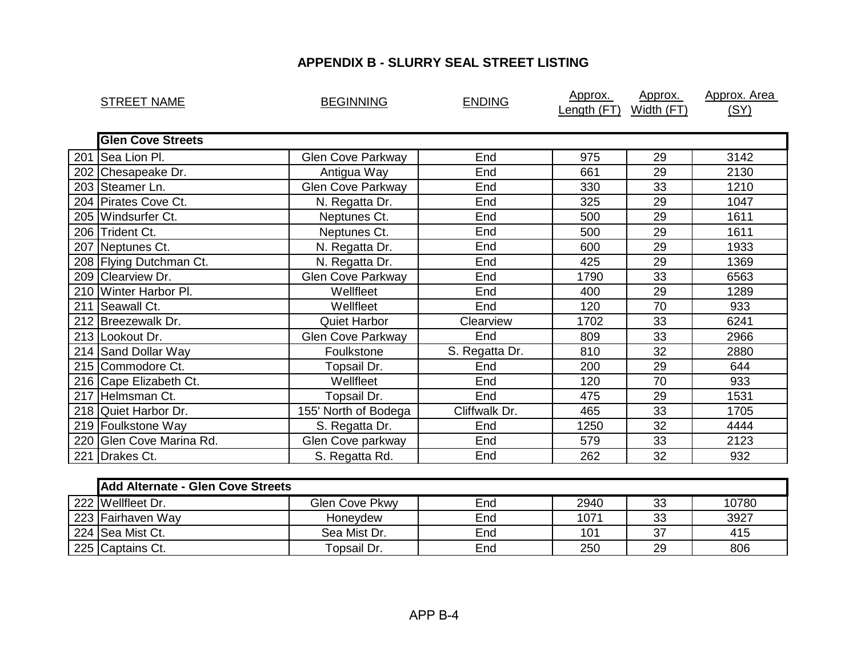#### **APPENDIX B - SLURRY SEAL STREET LISTING**

|     | <b>STREET NAME</b>       | <b>BEGINNING</b>         | <b>ENDING</b>  | <u>Approx.</u> | Approx.    | Approx. Area |
|-----|--------------------------|--------------------------|----------------|----------------|------------|--------------|
|     |                          |                          |                | Length (FT)    | Width (FT) | (SY)         |
|     | <b>Glen Cove Streets</b> |                          |                |                |            |              |
| 201 | Sea Lion Pl.             | <b>Glen Cove Parkway</b> | End            | 975            | 29         | 3142         |
|     | 202 Chesapeake Dr.       | Antigua Way              | End            | 661            | 29         | 2130         |
|     | 203 Steamer Ln.          | <b>Glen Cove Parkway</b> | End            | 330            | 33         | 1210         |
|     | 204   Pirates Cove Ct.   | N. Regatta Dr.           | End            | 325            | 29         | 1047         |
|     | 205 Windsurfer Ct.       | Neptunes Ct.             | End            | 500            | 29         | 1611         |
|     | 206 Trident Ct.          | Neptunes Ct.             | End            | 500            | 29         | 1611         |
|     | 207 Neptunes Ct.         | N. Regatta Dr.           | End            | 600            | 29         | 1933         |
|     | 208 Flying Dutchman Ct.  | N. Regatta Dr.           | End            | 425            | 29         | 1369         |
|     | 209 Clearview Dr.        | <b>Glen Cove Parkway</b> | End            | 1790           | 33         | 6563         |
|     | 210 Winter Harbor Pl.    | Wellfleet                | End            | 400            | 29         | 1289         |
|     | 211 Seawall Ct.          | Wellfleet                | End            | 120            | 70         | 933          |
|     | 212 Breezewalk Dr.       | <b>Quiet Harbor</b>      | Clearview      | 1702           | 33         | 6241         |
|     | 213 Lookout Dr.          | <b>Glen Cove Parkway</b> | End            | 809            | 33         | 2966         |
|     | 214 Sand Dollar Way      | Foulkstone               | S. Regatta Dr. | 810            | 32         | 2880         |
|     | 215 Commodore Ct.        | Topsail Dr.              | End            | 200            | 29         | 644          |
|     | 216 Cape Elizabeth Ct.   | Wellfleet                | End            | 120            | 70         | 933          |
|     | 217 Helmsman Ct.         | Topsail Dr.              | End            | 475            | 29         | 1531         |
|     | 218 Quiet Harbor Dr.     | 155' North of Bodega     | Cliffwalk Dr.  | 465            | 33         | 1705         |
|     | 219 Foulkstone Way       | S. Regatta Dr.           | End            | 1250           | 32         | 4444         |
|     | 220 Glen Cove Marina Rd. | Glen Cove parkway        | End            | 579            | 33         | 2123         |
|     | 221 Drakes Ct.           | S. Regatta Rd.           | End            | 262            | 32         | 932          |

| <b>Add Alternate - Glen Cove Streets</b> |                       |     |      |    |       |  |
|------------------------------------------|-----------------------|-----|------|----|-------|--|
| 222 Wellfleet Dr.                        | <b>Glen Cove Pkwy</b> | End | 2940 | 33 | 10780 |  |
| 223 Fairhaven Way                        | Honevdew              | End | 1071 | 33 | 3927  |  |
| 1224 Sea Mist Ct.                        | Sea Mist Dr.          | End | 101  |    | 415   |  |
| 225 Captains Ct.                         | Topsail Dr.           | End | 250  | 29 | 806   |  |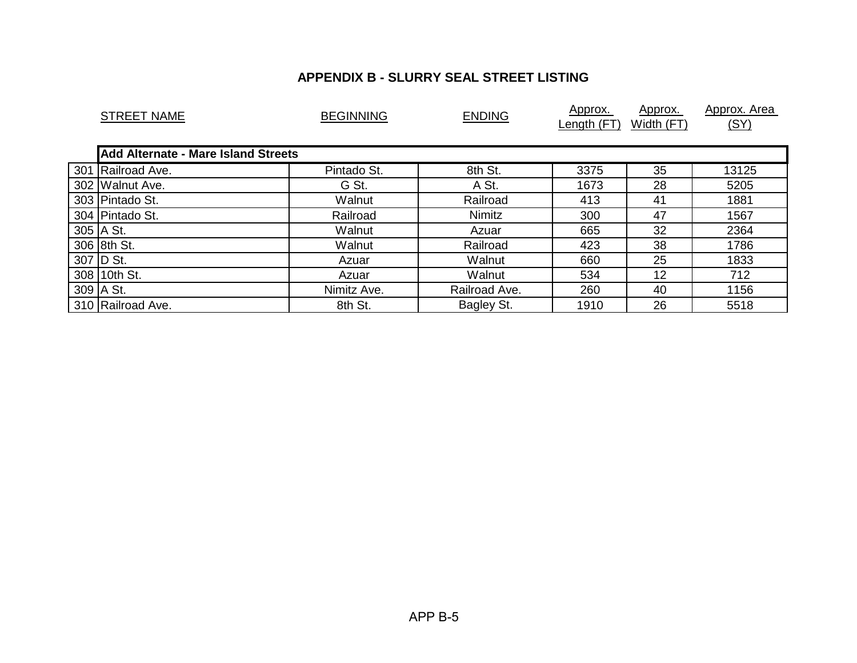### **APPENDIX B - SLURRY SEAL STREET LISTING**

| <b>STREET NAME</b>                         | <b>BEGINNING</b> | <b>ENDING</b> | Approx.<br>Length (FT) | Approx.<br>Width (FT) | Approx. Area<br><u>(SY)</u> |
|--------------------------------------------|------------------|---------------|------------------------|-----------------------|-----------------------------|
| <b>Add Alternate - Mare Island Streets</b> |                  |               |                        |                       |                             |
| 301 Railroad Ave.                          | Pintado St.      | 8th St.       | 3375                   | 35                    | 13125                       |
| 302 Walnut Ave.                            | G St.            | A St.         | 1673                   | 28                    | 5205                        |
| 303 Pintado St.                            | Walnut           | Railroad      | 413                    | 41                    | 1881                        |
| 304 Pintado St.                            | Railroad         | Nimitz        | 300                    | 47                    | 1567                        |
| $305$ A St.                                | Walnut           | Azuar         | 665                    | 32                    | 2364                        |
| 306 8th St.                                | Walnut           | Railroad      | 423                    | 38                    | 1786                        |
| 307 D St.                                  | Azuar            | Walnut        | 660                    | 25                    | 1833                        |
| 308 10th St.                               | Azuar            | Walnut        | 534                    | 12                    | 712                         |
| 309 A St.                                  | Nimitz Ave.      | Railroad Ave. | 260                    | 40                    | 1156                        |
| 310 Railroad Ave.                          | 8th St.          | Bagley St.    | 1910                   | 26                    | 5518                        |